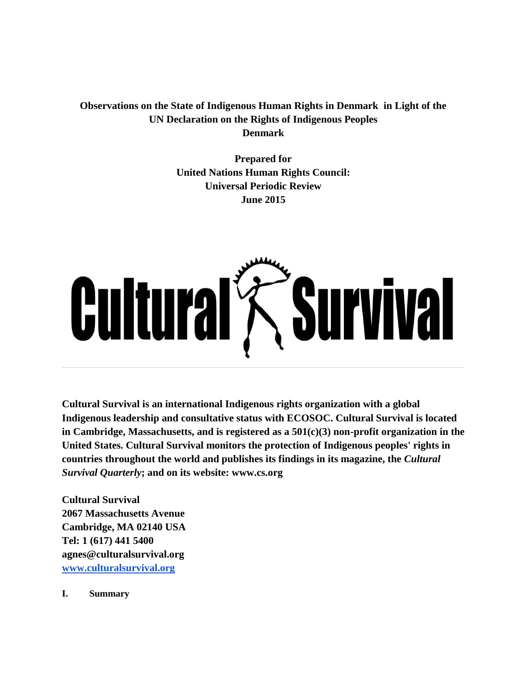**Observations on the State of Indigenous Human Rights in Denmark in Light of the UN Declaration on the Rights of Indigenous Peoples Denmark**

> **Prepared for United Nations Human Rights Council: Universal Periodic Review June 2015**

# **Cultural** *Survival*

**Cultural Survival is an international Indigenous rights organization with a global Indigenous leadership and consultative status with ECOSOC. Cultural Survival is located in Cambridge, Massachusetts, and is registered as a 501(c)(3) non-profit organization in the United States. Cultural Survival monitors the protection of Indigenous peoples' rights in countries throughout the world and publishes its findings in its magazine, the** *Cultural Survival Quarterly***; and on its website: www.cs.org**

**Cultural Survival 2067 Massachusetts Avenue Cambridge, MA 02140 USA Tel: 1 (617) 441 5400 agnes@culturalsurvival.org [www.culturalsurvival.org](http://www.culturalsurvival.org/)**

**I. Summary**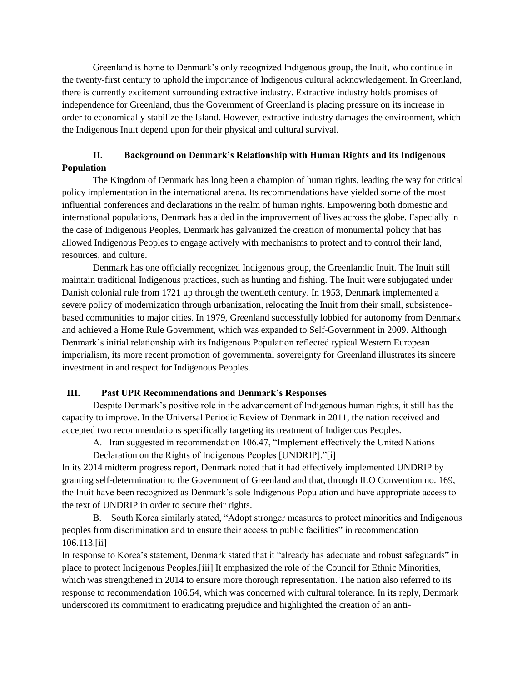Greenland is home to Denmark's only recognized Indigenous group, the Inuit, who continue in the twenty-first century to uphold the importance of Indigenous cultural acknowledgement. In Greenland, there is currently excitement surrounding extractive industry. Extractive industry holds promises of independence for Greenland, thus the Government of Greenland is placing pressure on its increase in order to economically stabilize the Island. However, extractive industry damages the environment, which the Indigenous Inuit depend upon for their physical and cultural survival.

# **II. Background on Denmark's Relationship with Human Rights and its Indigenous Population**

 The Kingdom of Denmark has long been a champion of human rights, leading the way for critical policy implementation in the international arena. Its recommendations have yielded some of the most influential conferences and declarations in the realm of human rights. Empowering both domestic and international populations, Denmark has aided in the improvement of lives across the globe. Especially in the case of Indigenous Peoples, Denmark has galvanized the creation of monumental policy that has allowed Indigenous Peoples to engage actively with mechanisms to protect and to control their land, resources, and culture.

 Denmark has one officially recognized Indigenous group, the Greenlandic Inuit. The Inuit still maintain traditional Indigenous practices, such as hunting and fishing. The Inuit were subjugated under Danish colonial rule from 1721 up through the twentieth century. In 1953, Denmark implemented a severe policy of modernization through urbanization, relocating the Inuit from their small, subsistencebased communities to major cities. In 1979, Greenland successfully lobbied for autonomy from Denmark and achieved a Home Rule Government, which was expanded to Self-Government in 2009. Although Denmark's initial relationship with its Indigenous Population reflected typical Western European imperialism, its more recent promotion of governmental sovereignty for Greenland illustrates its sincere investment in and respect for Indigenous Peoples.

# **III. Past UPR Recommendations and Denmark's Responses**

Despite Denmark's positive role in the advancement of Indigenous human rights, it still has the capacity to improve. In the Universal Periodic Review of Denmark in 2011, the nation received and accepted two recommendations specifically targeting its treatment of Indigenous Peoples.

A. Iran suggested in recommendation 106.47, "Implement effectively the United Nations Declaration on the Rights of Indigenous Peoples [UNDRIP]."[i]

In its 2014 midterm progress report, Denmark noted that it had effectively implemented UNDRIP by granting self-determination to the Government of Greenland and that, through ILO Convention no. 169, the Inuit have been recognized as Denmark's sole Indigenous Population and have appropriate access to the text of UNDRIP in order to secure their rights.

B. South Korea similarly stated, "Adopt stronger measures to protect minorities and Indigenous peoples from discrimination and to ensure their access to public facilities" in recommendation 106.113.[ii]

In response to Korea's statement, Denmark stated that it "already has adequate and robust safeguards" in place to protect Indigenous Peoples.[iii] It emphasized the role of the Council for Ethnic Minorities, which was strengthened in 2014 to ensure more thorough representation. The nation also referred to its response to recommendation 106.54, which was concerned with cultural tolerance. In its reply, Denmark underscored its commitment to eradicating prejudice and highlighted the creation of an anti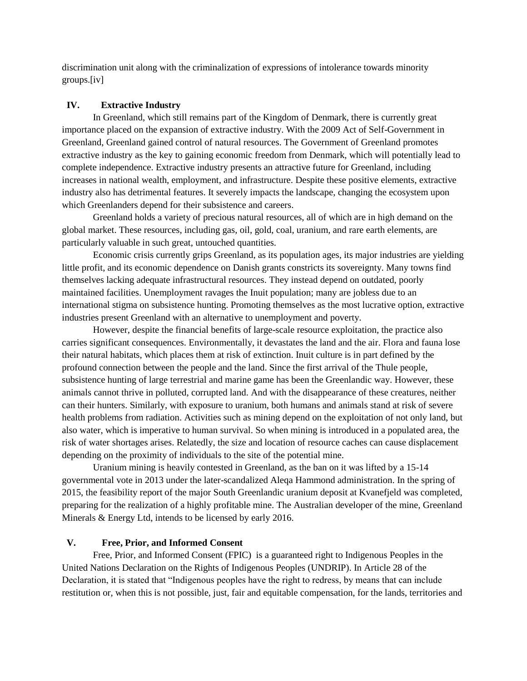discrimination unit along with the criminalization of expressions of intolerance towards minority groups.[iv]

# **IV. Extractive Industry**

 In Greenland, which still remains part of the Kingdom of Denmark, there is currently great importance placed on the expansion of extractive industry. With the 2009 Act of Self-Government in Greenland, Greenland gained control of natural resources. The Government of Greenland promotes extractive industry as the key to gaining economic freedom from Denmark, which will potentially lead to complete independence. Extractive industry presents an attractive future for Greenland, including increases in national wealth, employment, and infrastructure. Despite these positive elements, extractive industry also has detrimental features. It severely impacts the landscape, changing the ecosystem upon which Greenlanders depend for their subsistence and careers.

 Greenland holds a variety of precious natural resources, all of which are in high demand on the global market. These resources, including gas, oil, gold, coal, uranium, and rare earth elements, are particularly valuable in such great, untouched quantities.

 Economic crisis currently grips Greenland, as its population ages, its major industries are yielding little profit, and its economic dependence on Danish grants constricts its sovereignty. Many towns find themselves lacking adequate infrastructural resources. They instead depend on outdated, poorly maintained facilities. Unemployment ravages the Inuit population; many are jobless due to an international stigma on subsistence hunting. Promoting themselves as the most lucrative option, extractive industries present Greenland with an alternative to unemployment and poverty.

 However, despite the financial benefits of large-scale resource exploitation, the practice also carries significant consequences. Environmentally, it devastates the land and the air. Flora and fauna lose their natural habitats, which places them at risk of extinction. Inuit culture is in part defined by the profound connection between the people and the land. Since the first arrival of the Thule people, subsistence hunting of large terrestrial and marine game has been the Greenlandic way. However, these animals cannot thrive in polluted, corrupted land. And with the disappearance of these creatures, neither can their hunters. Similarly, with exposure to uranium, both humans and animals stand at risk of severe health problems from radiation. Activities such as mining depend on the exploitation of not only land, but also water, which is imperative to human survival. So when mining is introduced in a populated area, the risk of water shortages arises. Relatedly, the size and location of resource caches can cause displacement depending on the proximity of individuals to the site of the potential mine.

 Uranium mining is heavily contested in Greenland, as the ban on it was lifted by a 15-14 governmental vote in 2013 under the later-scandalized Aleqa Hammond administration. In the spring of 2015, the feasibility report of the major South Greenlandic uranium deposit at Kvanefjeld was completed, preparing for the realization of a highly profitable mine. The Australian developer of the mine, Greenland Minerals & Energy Ltd, intends to be licensed by early 2016.

#### **V. Free, Prior, and Informed Consent**

 Free, Prior, and Informed Consent (FPIC) is a guaranteed right to Indigenous Peoples in the United Nations Declaration on the Rights of Indigenous Peoples (UNDRIP). In Article 28 of the Declaration, it is stated that "Indigenous peoples have the right to redress, by means that can include restitution or, when this is not possible, just, fair and equitable compensation, for the lands, territories and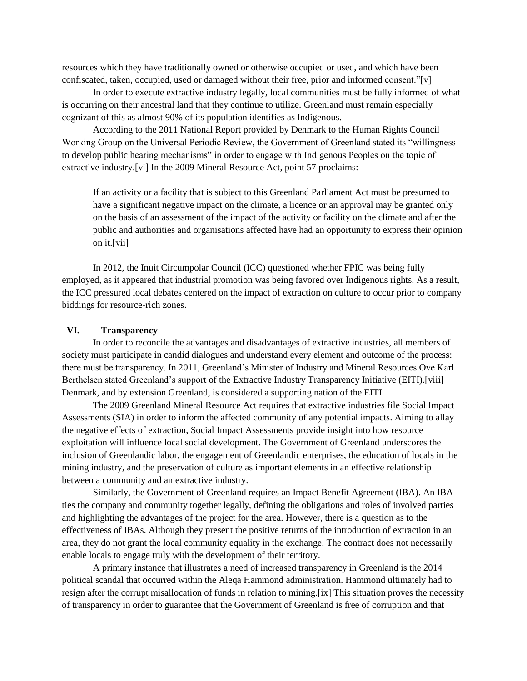resources which they have traditionally owned or otherwise occupied or used, and which have been confiscated, taken, occupied, used or damaged without their free, prior and informed consent."[v]

 In order to execute extractive industry legally, local communities must be fully informed of what is occurring on their ancestral land that they continue to utilize. Greenland must remain especially cognizant of this as almost 90% of its population identifies as Indigenous.

 According to the 2011 National Report provided by Denmark to the Human Rights Council Working Group on the Universal Periodic Review, the Government of Greenland stated its "willingness to develop public hearing mechanisms" in order to engage with Indigenous Peoples on the topic of extractive industry.[vi] In the 2009 Mineral Resource Act, point 57 proclaims:

If an activity or a facility that is subject to this Greenland Parliament Act must be presumed to have a significant negative impact on the climate, a licence or an approval may be granted only on the basis of an assessment of the impact of the activity or facility on the climate and after the public and authorities and organisations affected have had an opportunity to express their opinion on it.[vii]

 In 2012, the Inuit Circumpolar Council (ICC) questioned whether FPIC was being fully employed, as it appeared that industrial promotion was being favored over Indigenous rights. As a result, the ICC pressured local debates centered on the impact of extraction on culture to occur prior to company biddings for resource-rich zones.

#### **VI. Transparency**

 In order to reconcile the advantages and disadvantages of extractive industries, all members of society must participate in candid dialogues and understand every element and outcome of the process: there must be transparency. In 2011, Greenland's Minister of Industry and Mineral Resources Ove Karl Berthelsen stated Greenland's support of the Extractive Industry Transparency Initiative (EITI).[viii] Denmark, and by extension Greenland, is considered a supporting nation of the EITI.

 The 2009 Greenland Mineral Resource Act requires that extractive industries file Social Impact Assessments (SIA) in order to inform the affected community of any potential impacts. Aiming to allay the negative effects of extraction, Social Impact Assessments provide insight into how resource exploitation will influence local social development. The Government of Greenland underscores the inclusion of Greenlandic labor, the engagement of Greenlandic enterprises, the education of locals in the mining industry, and the preservation of culture as important elements in an effective relationship between a community and an extractive industry.

 Similarly, the Government of Greenland requires an Impact Benefit Agreement (IBA). An IBA ties the company and community together legally, defining the obligations and roles of involved parties and highlighting the advantages of the project for the area. However, there is a question as to the effectiveness of IBAs. Although they present the positive returns of the introduction of extraction in an area, they do not grant the local community equality in the exchange. The contract does not necessarily enable locals to engage truly with the development of their territory.

 A primary instance that illustrates a need of increased transparency in Greenland is the 2014 political scandal that occurred within the Aleqa Hammond administration. Hammond ultimately had to resign after the corrupt misallocation of funds in relation to mining.[ix] This situation proves the necessity of transparency in order to guarantee that the Government of Greenland is free of corruption and that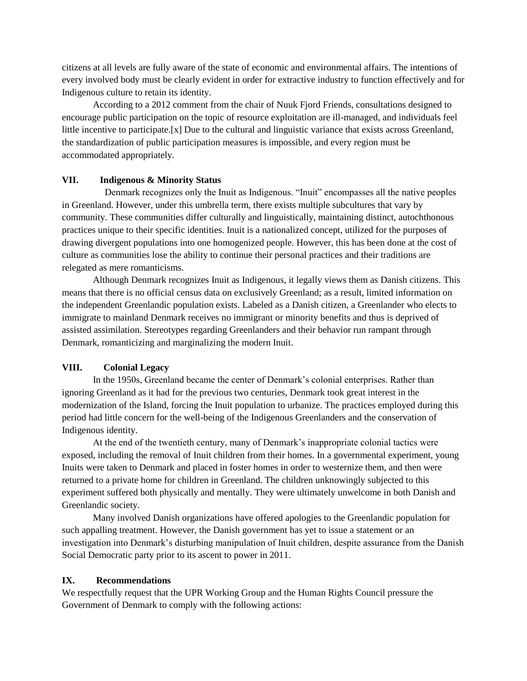citizens at all levels are fully aware of the state of economic and environmental affairs. The intentions of every involved body must be clearly evident in order for extractive industry to function effectively and for Indigenous culture to retain its identity.

 According to a 2012 comment from the chair of Nuuk Fjord Friends, consultations designed to encourage public participation on the topic of resource exploitation are ill-managed, and individuals feel little incentive to participate.[x] Due to the cultural and linguistic variance that exists across Greenland, the standardization of public participation measures is impossible, and every region must be accommodated appropriately.

## **VII. Indigenous & Minority Status**

Denmark recognizes only the Inuit as Indigenous. "Inuit" encompasses all the native peoples in Greenland. However, under this umbrella term, there exists multiple subcultures that vary by community. These communities differ culturally and linguistically, maintaining distinct, autochthonous practices unique to their specific identities. Inuit is a nationalized concept, utilized for the purposes of drawing divergent populations into one homogenized people. However, this has been done at the cost of culture as communities lose the ability to continue their personal practices and their traditions are relegated as mere romanticisms.

 Although Denmark recognizes Inuit as Indigenous, it legally views them as Danish citizens. This means that there is no official census data on exclusively Greenland; as a result, limited information on the independent Greenlandic population exists. Labeled as a Danish citizen, a Greenlander who elects to immigrate to mainland Denmark receives no immigrant or minority benefits and thus is deprived of assisted assimilation. Stereotypes regarding Greenlanders and their behavior run rampant through Denmark, romanticizing and marginalizing the modern Inuit.

## **VIII. Colonial Legacy**

In the 1950s, Greenland became the center of Denmark's colonial enterprises. Rather than ignoring Greenland as it had for the previous two centuries, Denmark took great interest in the modernization of the Island, forcing the Inuit population to urbanize. The practices employed during this period had little concern for the well-being of the Indigenous Greenlanders and the conservation of Indigenous identity.

At the end of the twentieth century, many of Denmark's inappropriate colonial tactics were exposed, including the removal of Inuit children from their homes. In a governmental experiment, young Inuits were taken to Denmark and placed in foster homes in order to westernize them, and then were returned to a private home for children in Greenland. The children unknowingly subjected to this experiment suffered both physically and mentally. They were ultimately unwelcome in both Danish and Greenlandic society.

Many involved Danish organizations have offered apologies to the Greenlandic population for such appalling treatment. However, the Danish government has yet to issue a statement or an investigation into Denmark's disturbing manipulation of Inuit children, despite assurance from the Danish Social Democratic party prior to its ascent to power in 2011.

## **IX. Recommendations**

We respectfully request that the UPR Working Group and the Human Rights Council pressure the Government of Denmark to comply with the following actions: